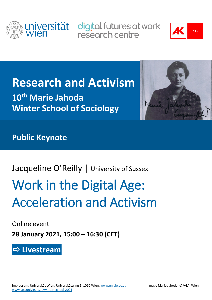

universität digital futures at work research centre



## **Research and Activism**

**10th Marie Jahoda Winter School of Sociology**



**Public Keynote**

### Jacqueline O'Reilly | University of Sussex

# Work in the Digital Age: Acceleration and Activism

Online event

**28 January 2021, 15:00 – 16:30 (CET)**